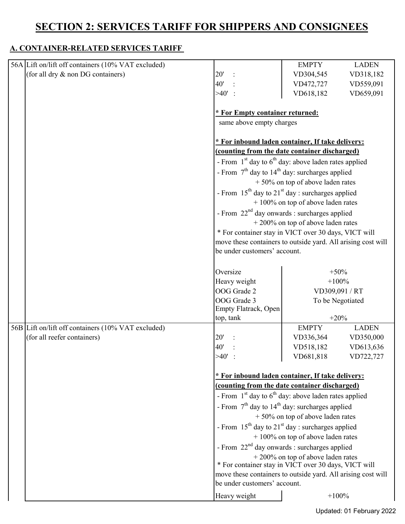## **SECTION 2: SERVICES TARIFF FOR SHIPPERS AND CONSIGNEES**

## **A. CONTAINER-RELATED SERVICES TARIFF**

|  | 56A Lift on/lift off containers (10% VAT excluded)                                                |                                                                                                                | <b>EMPTY</b>                         | <b>LADEN</b> |
|--|---------------------------------------------------------------------------------------------------|----------------------------------------------------------------------------------------------------------------|--------------------------------------|--------------|
|  | (for all dry & non DG containers)                                                                 | 20'                                                                                                            | VD304,545                            | VD318,182    |
|  |                                                                                                   | 40'                                                                                                            | VD472,727                            | VD559,091    |
|  |                                                                                                   | >40'                                                                                                           | VD618,182                            | VD659,091    |
|  |                                                                                                   |                                                                                                                |                                      |              |
|  |                                                                                                   | * For Empty container returned:                                                                                |                                      |              |
|  |                                                                                                   | same above empty charges                                                                                       |                                      |              |
|  |                                                                                                   |                                                                                                                |                                      |              |
|  |                                                                                                   | * For inbound laden container, If take delivery:                                                               |                                      |              |
|  |                                                                                                   | (counting from the date container discharged)                                                                  |                                      |              |
|  |                                                                                                   | - From $1st$ day to $6th$ day: above laden rates applied<br>- From $7th$ day to $14th$ day: surcharges applied |                                      |              |
|  |                                                                                                   |                                                                                                                |                                      |              |
|  | $+50\%$ on top of above laden rates<br>- From $15^{th}$ day to $21^{st}$ day : surcharges applied |                                                                                                                |                                      |              |
|  |                                                                                                   |                                                                                                                |                                      |              |
|  |                                                                                                   | $+100\%$ on top of above laden rates                                                                           |                                      |              |
|  |                                                                                                   | - From $22^{nd}$ day onwards : surcharges applied                                                              |                                      |              |
|  |                                                                                                   |                                                                                                                | $+200\%$ on top of above laden rates |              |
|  |                                                                                                   | * For container stay in VICT over 30 days, VICT will                                                           |                                      |              |
|  |                                                                                                   | move these containers to outside yard. All arising cost will                                                   |                                      |              |
|  | be under customers' account.                                                                      |                                                                                                                |                                      |              |
|  |                                                                                                   | Oversize                                                                                                       | $+50%$                               |              |
|  |                                                                                                   | Heavy weight                                                                                                   | $+100%$                              |              |
|  |                                                                                                   | OOG Grade 2                                                                                                    | VD309,091 / RT                       |              |
|  |                                                                                                   | OOG Grade 3                                                                                                    | To be Negotiated                     |              |
|  |                                                                                                   | <b>Empty Flatrack, Open</b>                                                                                    |                                      |              |
|  |                                                                                                   | top, tank                                                                                                      | $+20%$                               |              |
|  | 56B Lift on/lift off containers (10% VAT excluded)                                                |                                                                                                                | <b>EMPTY</b>                         | <b>LADEN</b> |
|  | (for all reefer containers)                                                                       | 20'<br>40'                                                                                                     | VD336,364                            | VD350,000    |
|  |                                                                                                   |                                                                                                                | VD518,182                            | VD613,636    |
|  |                                                                                                   | $>40'$ :                                                                                                       | VD681,818                            | VD722,727    |
|  |                                                                                                   | * For inbound laden container, If take delivery:                                                               |                                      |              |
|  |                                                                                                   | (counting from the date container discharged)                                                                  |                                      |              |
|  |                                                                                                   | - From $1st$ day to $6th$ day: above laden rates applied                                                       |                                      |              |
|  |                                                                                                   | - From $7th$ day to 14 <sup>th</sup> day: surcharges applied                                                   |                                      |              |
|  |                                                                                                   |                                                                                                                | $+50\%$ on top of above laden rates  |              |
|  |                                                                                                   | - From $15^{th}$ day to $21^{st}$ day : surcharges applied                                                     |                                      |              |
|  |                                                                                                   | $+100\%$ on top of above laden rates                                                                           |                                      |              |
|  |                                                                                                   | - From 22 <sup>nd</sup> day onwards : surcharges applied                                                       |                                      |              |
|  |                                                                                                   |                                                                                                                | $+200\%$ on top of above laden rates |              |
|  |                                                                                                   | * For container stay in VICT over 30 days, VICT will                                                           |                                      |              |
|  |                                                                                                   | move these containers to outside yard. All arising cost will                                                   |                                      |              |
|  |                                                                                                   | be under customers' account.                                                                                   |                                      |              |
|  |                                                                                                   | Heavy weight                                                                                                   | $+100%$                              |              |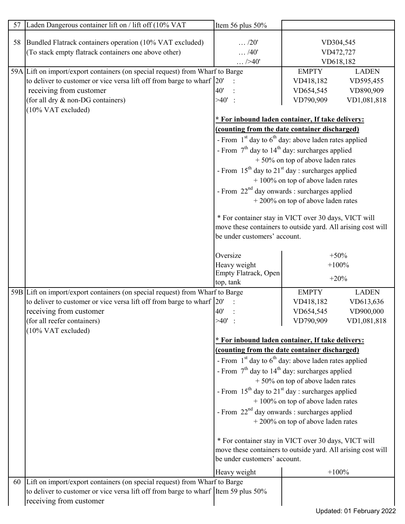| 57 | Laden Dangerous container lift on / lift off (10% VAT                              | Item 56 plus 50%                                                                                  |                                      |                           |
|----|------------------------------------------------------------------------------------|---------------------------------------------------------------------------------------------------|--------------------------------------|---------------------------|
|    |                                                                                    |                                                                                                   |                                      |                           |
| 58 | Bundled Flatrack containers operation (10% VAT excluded)                           | $\dots 20'$                                                                                       | VD304,545                            |                           |
|    | (To stack empty flatrack containers one above other)                               | $\ldots$ /40'                                                                                     | VD472,727                            |                           |
|    |                                                                                    | $\ldots$ />40'                                                                                    | VD618,182                            |                           |
|    | 59A Lift on import/export containers (on special request) from Wharf to Barge      |                                                                                                   | <b>EMPTY</b>                         | <b>LADEN</b>              |
|    | to deliver to customer or vice versa lift off from barge to wharf 20'              |                                                                                                   | VD418,182                            | VD595,455                 |
|    | receiving from customer                                                            | 40'                                                                                               | VD654,545                            | VD890,909                 |
|    | (for all dry & non-DG containers)                                                  | >40'                                                                                              | VD790,909                            | VD1,081,818               |
|    | (10% VAT excluded)                                                                 |                                                                                                   |                                      |                           |
|    |                                                                                    | * For inbound laden container, If take delivery:<br>(counting from the date container discharged) |                                      |                           |
|    |                                                                                    | - From $1st$ day to $6th$ day: above laden rates applied                                          |                                      |                           |
|    |                                                                                    |                                                                                                   |                                      |                           |
|    |                                                                                    | - From $7th$ day to $14th$ day: surcharges applied                                                |                                      |                           |
|    |                                                                                    |                                                                                                   | $+50\%$ on top of above laden rates  |                           |
|    |                                                                                    | - From $15^{th}$ day to $21^{st}$ day : surcharges applied                                        |                                      |                           |
|    |                                                                                    |                                                                                                   | $+100\%$ on top of above laden rates |                           |
|    |                                                                                    | - From $22^{nd}$ day onwards : surcharges applied                                                 |                                      |                           |
|    |                                                                                    |                                                                                                   | $+$ 200% on top of above laden rates |                           |
|    |                                                                                    | * For container stay in VICT over 30 days, VICT will                                              |                                      |                           |
|    |                                                                                    | move these containers to outside yard. All arising cost will                                      |                                      |                           |
|    |                                                                                    | be under customers' account.                                                                      |                                      |                           |
|    |                                                                                    |                                                                                                   |                                      |                           |
|    |                                                                                    | Oversize                                                                                          | $+50%$                               |                           |
|    |                                                                                    | Heavy weight                                                                                      | $+100%$                              |                           |
|    |                                                                                    | Empty Flatrack, Open                                                                              | $+20%$                               |                           |
|    |                                                                                    | top, tank                                                                                         |                                      |                           |
|    | 59B Lift on import/export containers (on special request) from Wharf to Barge      |                                                                                                   | <b>EMPTY</b>                         | <b>LADEN</b>              |
|    | to deliver to customer or vice versa lift off from barge to wharf 20'              | 40'                                                                                               | VD418,182                            | VD613,636                 |
|    | receiving from customer<br>(for all reefer containers)                             | $>40'$ :                                                                                          | VD654,545<br>VD790,909               | VD900,000<br>VD1,081,818  |
|    | (10% VAT excluded)                                                                 |                                                                                                   |                                      |                           |
|    |                                                                                    | * For inbound laden container, If take delivery:                                                  |                                      |                           |
|    |                                                                                    | (counting from the date container discharged)                                                     |                                      |                           |
|    |                                                                                    | - From $1st$ day to $6th$ day: above laden rates applied                                          |                                      |                           |
|    |                                                                                    | - From $7th$ day to $14th$ day: surcharges applied                                                |                                      |                           |
|    |                                                                                    |                                                                                                   | +50% on top of above laden rates     |                           |
|    |                                                                                    | - From $15^{th}$ day to $21^{st}$ day : surcharges applied                                        |                                      |                           |
|    |                                                                                    |                                                                                                   | $+100\%$ on top of above laden rates |                           |
|    |                                                                                    | - From 22 <sup>nd</sup> day onwards : surcharges applied                                          |                                      |                           |
|    |                                                                                    |                                                                                                   | $+$ 200% on top of above laden rates |                           |
|    |                                                                                    |                                                                                                   |                                      |                           |
|    |                                                                                    | * For container stay in VICT over 30 days, VICT will                                              |                                      |                           |
|    |                                                                                    | move these containers to outside yard. All arising cost will                                      |                                      |                           |
|    |                                                                                    | be under customers' account.                                                                      |                                      |                           |
|    |                                                                                    | Heavy weight                                                                                      | $+100%$                              |                           |
|    | 60 Lift on import/export containers (on special request) from Wharf to Barge       |                                                                                                   |                                      |                           |
|    | to deliver to customer or vice versa lift off from barge to wharf Item 59 plus 50% |                                                                                                   |                                      |                           |
|    | receiving from customer                                                            |                                                                                                   |                                      |                           |
|    |                                                                                    |                                                                                                   |                                      | Updated: 01 February 2022 |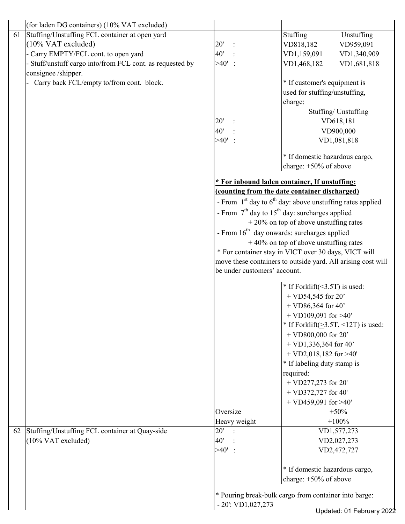|    | (for laden DG containers) (10% VAT excluded)            |                                                                                   |                                              |                           |
|----|---------------------------------------------------------|-----------------------------------------------------------------------------------|----------------------------------------------|---------------------------|
| 61 | Stuffing/Unstuffing FCL container at open yard          |                                                                                   | Stuffing                                     | Unstuffing                |
|    | $(10\% \text{ VAT excluded})$                           | 20'                                                                               | VD818,182                                    | VD959,091                 |
|    | Carry EMPTY/FCL cont. to open yard                      | 40'                                                                               | VD1,159,091                                  | VD1,340,909               |
|    | Stuff/unstuff cargo into/from FCL cont. as requested by | $>40'$ :                                                                          | VD1,468,182                                  | VD1,681,818               |
|    | consignee /shipper.                                     |                                                                                   |                                              |                           |
|    | Carry back FCL/empty to/from cont. block.               |                                                                                   | * If customer's equipment is                 |                           |
|    |                                                         |                                                                                   | used for stuffing/unstuffing,                |                           |
|    |                                                         |                                                                                   | charge:                                      |                           |
|    |                                                         |                                                                                   |                                              | Stuffing/ Unstuffing      |
|    |                                                         | 20'                                                                               |                                              | VD618,181                 |
|    |                                                         | 40'                                                                               |                                              | VD900,000                 |
|    |                                                         | >40'                                                                              |                                              | VD1,081,818               |
|    |                                                         |                                                                                   |                                              |                           |
|    |                                                         |                                                                                   | * If domestic hazardous cargo,               |                           |
|    |                                                         |                                                                                   | charge: +50% of above                        |                           |
|    |                                                         | * For inbound laden container, If unstuffing:                                     |                                              |                           |
|    |                                                         | (counting from the date container discharged)                                     |                                              |                           |
|    |                                                         | - From 1 <sup>st</sup> day to 6 <sup>th</sup> day: above unstuffing rates applied |                                              |                           |
|    |                                                         | - From $7th$ day to $15th$ day: surcharges applied                                |                                              |                           |
|    |                                                         |                                                                                   | $+20\%$ on top of above unstuffing rates     |                           |
|    |                                                         | - From $16^{th}$ day onwards: surcharges applied                                  |                                              |                           |
|    |                                                         |                                                                                   | $+40\%$ on top of above unstuffing rates     |                           |
|    |                                                         | * For container stay in VICT over 30 days, VICT will                              |                                              |                           |
|    |                                                         | move these containers to outside yard. All arising cost will                      |                                              |                           |
|    |                                                         | be under customers' account.                                                      |                                              |                           |
|    |                                                         |                                                                                   | * If Forklift(<3.5T) is used:                |                           |
|    |                                                         |                                                                                   | $+$ VD54,545 for 20'                         |                           |
|    |                                                         |                                                                                   | + VD86,364 for $40'$                         |                           |
|    |                                                         |                                                                                   | + VD109,091 for $>40'$                       |                           |
|    |                                                         |                                                                                   | $*$ If Forklift( $>3.5$ T, $<12$ T) is used: |                           |
|    |                                                         |                                                                                   | + VD800,000 for 20'                          |                           |
|    |                                                         |                                                                                   | $+$ VD1,336,364 for 40'                      |                           |
|    |                                                         |                                                                                   | $+$ VD2,018,182 for >40'                     |                           |
|    |                                                         |                                                                                   | * If labeling duty stamp is                  |                           |
|    |                                                         |                                                                                   | required:                                    |                           |
|    |                                                         |                                                                                   | $+$ VD277,273 for 20'                        |                           |
|    |                                                         |                                                                                   | $+$ VD372,727 for 40'                        |                           |
|    |                                                         |                                                                                   | + VD459,091 for $>40'$                       |                           |
|    |                                                         | Oversize                                                                          |                                              | $+50%$                    |
|    |                                                         | Heavy weight                                                                      |                                              | $+100%$                   |
| 62 | Stuffing/Unstuffing FCL container at Quay-side          | 20'                                                                               |                                              | VD1,577,273               |
|    | (10% VAT excluded)                                      | 40'                                                                               |                                              | VD2,027,273               |
|    |                                                         | $>40'$ :                                                                          |                                              | VD2,472,727               |
|    |                                                         |                                                                                   |                                              |                           |
|    |                                                         |                                                                                   | * If domestic hazardous cargo,               |                           |
|    |                                                         |                                                                                   | charge: +50% of above                        |                           |
|    |                                                         | * Pouring break-bulk cargo from container into barge:                             |                                              |                           |
|    |                                                         | $-20$ : VD1,027,273                                                               |                                              |                           |
|    |                                                         |                                                                                   |                                              | Updated: 01 February 2022 |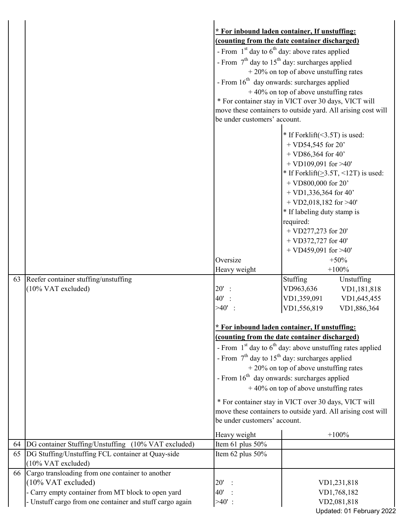|    |                                                          | * For inbound laden container, If unstuffing:<br>(counting from the date container discharged) |                                                              |  |  |
|----|----------------------------------------------------------|------------------------------------------------------------------------------------------------|--------------------------------------------------------------|--|--|
|    |                                                          | - From $1st$ day to $6th$ day: above rates applied                                             |                                                              |  |  |
|    |                                                          | - From $7th$ day to $15th$ day: surcharges applied                                             |                                                              |  |  |
|    |                                                          |                                                                                                | $+20\%$ on top of above unstuffing rates                     |  |  |
|    |                                                          |                                                                                                | - From $16^{th}$ day onwards: surcharges applied             |  |  |
|    |                                                          |                                                                                                | $+40\%$ on top of above unstuffing rates                     |  |  |
|    |                                                          |                                                                                                | * For container stay in VICT over 30 days, VICT will         |  |  |
|    |                                                          |                                                                                                | move these containers to outside yard. All arising cost will |  |  |
|    |                                                          | be under customers' account.                                                                   |                                                              |  |  |
|    |                                                          | $*$ If Forklift(<3.5T) is used:<br>$+$ VD54,545 for 20'                                        |                                                              |  |  |
|    |                                                          |                                                                                                | $+$ VD86,364 for 40'                                         |  |  |
|    |                                                          |                                                                                                | + VD109,091 for $>40'$                                       |  |  |
|    |                                                          |                                                                                                | * If Forklift( $\geq$ 3.5T, <12T) is used:                   |  |  |
|    |                                                          |                                                                                                | + VD800,000 for 20'                                          |  |  |
|    |                                                          |                                                                                                | $+$ VD1,336,364 for 40'                                      |  |  |
|    |                                                          |                                                                                                | $+$ VD2,018,182 for >40'<br>* If labeling duty stamp is      |  |  |
|    |                                                          |                                                                                                | required:                                                    |  |  |
|    |                                                          |                                                                                                | $+$ VD277,273 for 20'                                        |  |  |
|    |                                                          |                                                                                                | $+$ VD372,727 for 40'                                        |  |  |
|    |                                                          |                                                                                                | + VD459,091 for $>40'$                                       |  |  |
|    |                                                          | Oversize                                                                                       | $+50%$                                                       |  |  |
|    |                                                          | Heavy weight                                                                                   | $+100%$                                                      |  |  |
| 63 | Reefer container stuffing/unstuffing                     |                                                                                                | Stuffing<br>Unstuffing                                       |  |  |
|    | $(10\% \text{ VAT excluded})$                            | $20'$ :                                                                                        | VD1,181,818<br>VD963,636                                     |  |  |
|    |                                                          | $40'$ :                                                                                        | VD1,359,091<br>VD1,645,455                                   |  |  |
|    |                                                          | >40'                                                                                           | VD1,556,819<br>VD1,886,364                                   |  |  |
|    |                                                          |                                                                                                |                                                              |  |  |
|    |                                                          | * For inbound laden container, If unstuffing:                                                  |                                                              |  |  |
|    |                                                          |                                                                                                | (counting from the date container discharged)                |  |  |
|    |                                                          | - From $1st$ day to $6th$ day: above unstuffing rates applied                                  |                                                              |  |  |
|    |                                                          |                                                                                                | - From $7th$ day to $15th$ day: surcharges applied           |  |  |
|    |                                                          |                                                                                                |                                                              |  |  |
|    |                                                          |                                                                                                | $+20\%$ on top of above unstuffing rates                     |  |  |
|    |                                                          |                                                                                                | - From $16th$ day onwards: surcharges applied                |  |  |
|    |                                                          |                                                                                                | $+40\%$ on top of above unstuffing rates                     |  |  |
|    |                                                          |                                                                                                | * For container stay in VICT over 30 days, VICT will         |  |  |
|    |                                                          | be under customers' account.                                                                   | move these containers to outside yard. All arising cost will |  |  |
|    |                                                          | Heavy weight                                                                                   | $+100%$                                                      |  |  |
|    | 64   DG container Stuffing/Unstuffing (10% VAT excluded) | Item 61 plus $50\%$                                                                            |                                                              |  |  |
| 65 | DG Stuffing/Unstuffing FCL container at Quay-side        | Item 62 plus 50%                                                                               |                                                              |  |  |
|    | (10% VAT excluded)                                       |                                                                                                |                                                              |  |  |
|    | 66 Cargo transloading from one container to another      |                                                                                                |                                                              |  |  |
|    | $(10\% \text{ VAT excluded})$                            | 20'                                                                                            | VD1,231,818                                                  |  |  |
|    | - Carry empty container from MT block to open yard       | 40'                                                                                            | VD1,768,182                                                  |  |  |
|    | - Unstuff cargo from one container and stuff cargo again | $>40'$ :                                                                                       | VD2,081,818<br>Updated: 01 February 2022                     |  |  |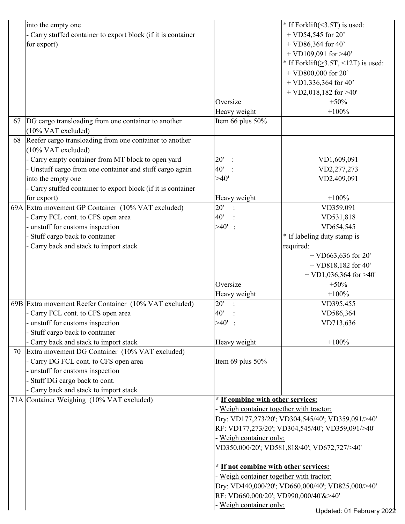|    | into the empty one<br>Carry stuffed container to export block (if it is container<br>for export)                                                                                                                                                                                                   |                                                                   | $*$ If Forklift(<3.5T) is used:<br>$+$ VD54,545 for 20'<br>+ VD86,364 for 40'                                                                                                                   |  |
|----|----------------------------------------------------------------------------------------------------------------------------------------------------------------------------------------------------------------------------------------------------------------------------------------------------|-------------------------------------------------------------------|-------------------------------------------------------------------------------------------------------------------------------------------------------------------------------------------------|--|
|    |                                                                                                                                                                                                                                                                                                    |                                                                   | + VD109,091 for $>40'$<br>* If Forklift( $\geq$ 3.5T, <12T) is used:<br>+ VD800,000 for 20'                                                                                                     |  |
|    |                                                                                                                                                                                                                                                                                                    |                                                                   | $+$ VD1,336,364 for 40'                                                                                                                                                                         |  |
|    |                                                                                                                                                                                                                                                                                                    |                                                                   | $+$ VD2,018,182 for >40'                                                                                                                                                                        |  |
|    |                                                                                                                                                                                                                                                                                                    | Oversize                                                          | $+50%$                                                                                                                                                                                          |  |
|    |                                                                                                                                                                                                                                                                                                    | Heavy weight                                                      | $+100%$                                                                                                                                                                                         |  |
|    | 67 DG cargo transloading from one container to another<br>(10% VAT excluded)                                                                                                                                                                                                                       | Item 66 plus 50%                                                  |                                                                                                                                                                                                 |  |
| 68 | Reefer cargo transloading from one container to another<br>(10% VAT excluded)                                                                                                                                                                                                                      |                                                                   |                                                                                                                                                                                                 |  |
|    | Carry empty container from MT block to open yard                                                                                                                                                                                                                                                   | 20'                                                               | VD1,609,091                                                                                                                                                                                     |  |
|    | - Unstuff cargo from one container and stuff cargo again                                                                                                                                                                                                                                           | 40'                                                               | VD2,277,273                                                                                                                                                                                     |  |
|    | into the empty one                                                                                                                                                                                                                                                                                 | >40'                                                              | VD2,409,091                                                                                                                                                                                     |  |
|    | Carry stuffed container to export block (if it is container                                                                                                                                                                                                                                        |                                                                   |                                                                                                                                                                                                 |  |
|    | for export)                                                                                                                                                                                                                                                                                        | Heavy weight                                                      | $+100%$                                                                                                                                                                                         |  |
|    | 69A Extra movement GP Container (10% VAT excluded)                                                                                                                                                                                                                                                 | 20'                                                               | VD359,091                                                                                                                                                                                       |  |
|    | - Carry FCL cont. to CFS open area                                                                                                                                                                                                                                                                 | 40'                                                               | VD531,818                                                                                                                                                                                       |  |
|    | unstuff for customs inspection                                                                                                                                                                                                                                                                     | >40'                                                              | VD654,545                                                                                                                                                                                       |  |
|    | Stuff cargo back to container                                                                                                                                                                                                                                                                      |                                                                   | * If labeling duty stamp is                                                                                                                                                                     |  |
|    | Carry back and stack to import stack                                                                                                                                                                                                                                                               |                                                                   | required:                                                                                                                                                                                       |  |
|    |                                                                                                                                                                                                                                                                                                    |                                                                   | $+$ VD663,636 for 20'                                                                                                                                                                           |  |
|    |                                                                                                                                                                                                                                                                                                    |                                                                   | $+$ VD818,182 for 40'<br>$+$ VD1,036,364 for >40'                                                                                                                                               |  |
|    |                                                                                                                                                                                                                                                                                                    | Oversize                                                          | $+50%$                                                                                                                                                                                          |  |
|    |                                                                                                                                                                                                                                                                                                    | Heavy weight                                                      | $+100%$                                                                                                                                                                                         |  |
|    |                                                                                                                                                                                                                                                                                                    |                                                                   |                                                                                                                                                                                                 |  |
|    |                                                                                                                                                                                                                                                                                                    |                                                                   |                                                                                                                                                                                                 |  |
|    |                                                                                                                                                                                                                                                                                                    |                                                                   |                                                                                                                                                                                                 |  |
|    |                                                                                                                                                                                                                                                                                                    |                                                                   |                                                                                                                                                                                                 |  |
|    |                                                                                                                                                                                                                                                                                                    |                                                                   | $+100%$                                                                                                                                                                                         |  |
| 70 |                                                                                                                                                                                                                                                                                                    |                                                                   |                                                                                                                                                                                                 |  |
|    |                                                                                                                                                                                                                                                                                                    | Item 69 plus 50%                                                  |                                                                                                                                                                                                 |  |
|    | unstuff for customs inspection                                                                                                                                                                                                                                                                     |                                                                   |                                                                                                                                                                                                 |  |
|    | Stuff DG cargo back to cont.                                                                                                                                                                                                                                                                       |                                                                   |                                                                                                                                                                                                 |  |
|    | Carry back and stack to import stack                                                                                                                                                                                                                                                               |                                                                   |                                                                                                                                                                                                 |  |
|    | 71A Container Weighing (10% VAT excluded)                                                                                                                                                                                                                                                          | * If combine with other services:                                 |                                                                                                                                                                                                 |  |
|    |                                                                                                                                                                                                                                                                                                    | - Weigh container together with tractor:                          |                                                                                                                                                                                                 |  |
|    |                                                                                                                                                                                                                                                                                                    | Dry: VD177,273/20'; VD304,545/40'; VD359,091/>40'                 |                                                                                                                                                                                                 |  |
|    |                                                                                                                                                                                                                                                                                                    |                                                                   |                                                                                                                                                                                                 |  |
|    |                                                                                                                                                                                                                                                                                                    |                                                                   |                                                                                                                                                                                                 |  |
|    |                                                                                                                                                                                                                                                                                                    |                                                                   |                                                                                                                                                                                                 |  |
|    |                                                                                                                                                                                                                                                                                                    |                                                                   |                                                                                                                                                                                                 |  |
|    |                                                                                                                                                                                                                                                                                                    | * If not combine with other services:                             |                                                                                                                                                                                                 |  |
|    |                                                                                                                                                                                                                                                                                                    | - Weigh container together with tractor:                          |                                                                                                                                                                                                 |  |
|    |                                                                                                                                                                                                                                                                                                    |                                                                   | Dry: VD440,000/20'; VD660,000/40'; VD825,000/>40'                                                                                                                                               |  |
|    |                                                                                                                                                                                                                                                                                                    | RF: VD660,000/20'; VD990,000/40'&>40'                             |                                                                                                                                                                                                 |  |
|    | 69B Extra movement Reefer Container (10% VAT excluded)<br>- Carry FCL cont. to CFS open area<br>unstuff for customs inspection<br>Stuff cargo back to container<br>Carry back and stack to import stack<br>Extra movement DG Container (10% VAT excluded)<br>- Carry DG FCL cont. to CFS open area | 20'<br>40'<br>$>40'$ :<br>Heavy weight<br>- Weigh container only: | VD395,455<br>VD586,364<br>VD713,636<br>RF: VD177,273/20'; VD304,545/40'; VD359,091/>40'<br>VD350,000/20'; VD581,818/40'; VD672,727/>40'<br>- Weigh container only:<br>Updated: 01 February 2022 |  |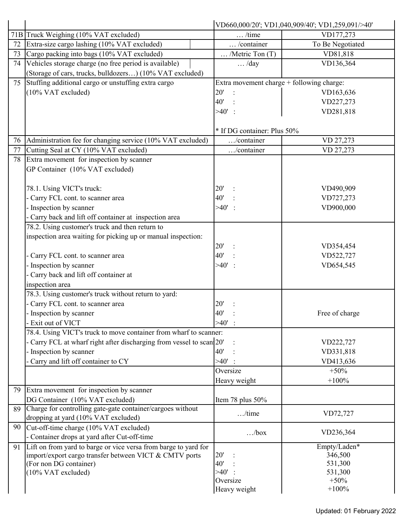|    |                                                                                                                           | VD660,000/20'; VD1,040,909/40'; VD1,259,091/>40' |                         |  |
|----|---------------------------------------------------------------------------------------------------------------------------|--------------------------------------------------|-------------------------|--|
|    | 71B Truck Weighing (10% VAT excluded)                                                                                     | $\dots$ /time                                    | VD177,273               |  |
| 72 | Extra-size cargo lashing (10% VAT excluded)                                                                               | /container                                       | To Be Negotiated        |  |
| 73 | Cargo packing into bags (10% VAT excluded)                                                                                | $\ldots$ /Metric Ton (T)                         | VD81,818                |  |
| 74 | Vehicles storage charge (no free period is available)                                                                     | $\ldots$ /day                                    | VD136,364               |  |
|    | (Storage of cars, trucks, bulldozers) (10% VAT excluded)                                                                  |                                                  |                         |  |
| 75 | Stuffing additional cargo or unstuffing extra cargo                                                                       | Extra movement charge + following charge:        |                         |  |
|    | $(10\% \text{ VAT excluded})$                                                                                             | 20'                                              | VD163,636               |  |
|    |                                                                                                                           | 40'                                              | VD227,273               |  |
|    |                                                                                                                           | $>40'$ :                                         | VD281,818               |  |
|    |                                                                                                                           |                                                  |                         |  |
|    |                                                                                                                           | * If DG container: Plus 50%                      |                         |  |
| 76 | Administration fee for changing service (10% VAT excluded)                                                                | /container                                       | VD 27,273               |  |
| 77 | Cutting Seal at CY (10% VAT excluded)                                                                                     | /container                                       | VD 27,273               |  |
| 78 | Extra movement for inspection by scanner                                                                                  |                                                  |                         |  |
|    | GP Container (10% VAT excluded)                                                                                           |                                                  |                         |  |
|    |                                                                                                                           |                                                  |                         |  |
|    | 78.1. Using VICT's truck:                                                                                                 | 20'                                              | VD490,909               |  |
|    | - Carry FCL cont. to scanner area                                                                                         | 40'                                              | VD727,273               |  |
|    | Inspection by scanner                                                                                                     | $>40'$ :                                         | VD900,000               |  |
|    | Carry back and lift off container at inspection area                                                                      |                                                  |                         |  |
|    | 78.2. Using customer's truck and then return to                                                                           |                                                  |                         |  |
|    | inspection area waiting for picking up or manual inspection:                                                              |                                                  |                         |  |
|    |                                                                                                                           | 20'                                              |                         |  |
|    |                                                                                                                           | 40'                                              | VD354,454               |  |
|    | Carry FCL cont. to scanner area                                                                                           | $>40'$ :                                         | VD522,727               |  |
|    | Inspection by scanner                                                                                                     |                                                  | VD654,545               |  |
|    | Carry back and lift off container at                                                                                      |                                                  |                         |  |
|    | inspection area                                                                                                           |                                                  |                         |  |
|    | 78.3. Using customer's truck without return to yard:                                                                      |                                                  |                         |  |
|    | - Carry FCL cont. to scanner area                                                                                         | 20'                                              |                         |  |
|    | - Inspection by scanner                                                                                                   | 40'                                              | Free of charge          |  |
|    | Exit out of VICT                                                                                                          | $>40'$ :                                         |                         |  |
|    | 78.4. Using VICT's truck to move container from wharf to scanner:                                                         |                                                  |                         |  |
|    | Carry FCL at wharf right after discharging from vessel to scan 20'                                                        |                                                  | VD222,727               |  |
|    | Inspection by scanner                                                                                                     | 40'                                              | VD331,818               |  |
|    | Carry and lift off container to CY                                                                                        | $>40'$ :                                         | VD413,636               |  |
|    |                                                                                                                           | Oversize                                         | $+50%$                  |  |
|    |                                                                                                                           | Heavy weight                                     | $+100%$                 |  |
| 79 | Extra movement for inspection by scanner                                                                                  |                                                  |                         |  |
|    | DG Container (10% VAT excluded)                                                                                           | Item 78 plus 50%                                 |                         |  |
| 89 | Charge for controlling gate-gate container/cargoes without                                                                | $$ /time                                         | VD72,727                |  |
|    | dropping at yard (10% VAT excluded)                                                                                       |                                                  |                         |  |
| 90 | Cut-off-time charge (10% VAT excluded)                                                                                    | $\ldots$ /box                                    | VD236,364               |  |
|    | - Container drops at yard after Cut-off-time                                                                              |                                                  |                         |  |
| 91 | Lift on from yard to barge or vice versa from barge to yard for<br>import/export cargo transfer between VICT & CMTV ports | 20'                                              | Empty/Laden*<br>346,500 |  |
|    | (For non DG container)                                                                                                    | 40'                                              | 531,300                 |  |
|    | (10% VAT excluded)                                                                                                        | >40'                                             | 531,300                 |  |
|    |                                                                                                                           | Oversize                                         | $+50%$                  |  |
|    |                                                                                                                           | Heavy weight                                     | $+100%$                 |  |